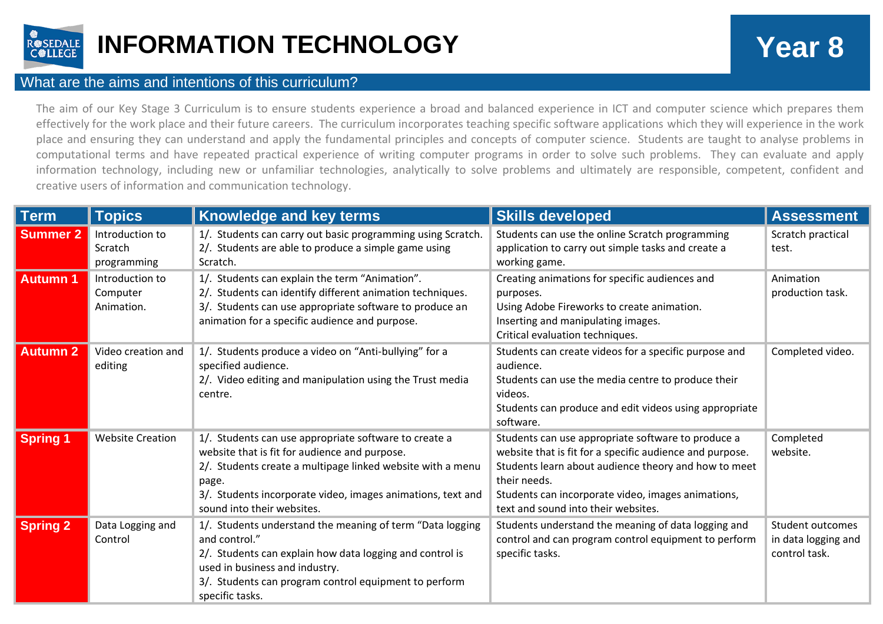

## **INFORMATION TECHNOLOGY Year 8**

## What are the aims and intentions of this curriculum?

The aim of our Key Stage 3 Curriculum is to ensure students experience a broad and balanced experience in ICT and computer science which prepares them effectively for the work place and their future careers. The curriculum incorporates teaching specific software applications which they will experience in the work place and ensuring they can understand and apply the fundamental principles and concepts of computer science. Students are taught to analyse problems in computational terms and have repeated practical experience of writing computer programs in order to solve such problems. They can evaluate and apply information technology, including new or unfamiliar technologies, analytically to solve problems and ultimately are responsible, competent, confident and creative users of information and communication technology.

| <b>Term</b>     | <b>Topics</b>                             | <b>Knowledge and key terms</b>                                                                                                                                                                                                                                             | <b>Skills developed</b>                                                                                                                                                                                                                                                             | <b>Assessment</b>                                        |
|-----------------|-------------------------------------------|----------------------------------------------------------------------------------------------------------------------------------------------------------------------------------------------------------------------------------------------------------------------------|-------------------------------------------------------------------------------------------------------------------------------------------------------------------------------------------------------------------------------------------------------------------------------------|----------------------------------------------------------|
| <b>Summer 2</b> | Introduction to<br>Scratch<br>programming | 1/. Students can carry out basic programming using Scratch.<br>2/. Students are able to produce a simple game using<br>Scratch.                                                                                                                                            | Students can use the online Scratch programming<br>application to carry out simple tasks and create a<br>working game.                                                                                                                                                              | Scratch practical<br>test.                               |
| <b>Autumn 1</b> | Introduction to<br>Computer<br>Animation. | 1/. Students can explain the term "Animation".<br>2/. Students can identify different animation techniques.<br>3/. Students can use appropriate software to produce an<br>animation for a specific audience and purpose.                                                   | Creating animations for specific audiences and<br>purposes.<br>Using Adobe Fireworks to create animation.<br>Inserting and manipulating images.<br>Critical evaluation techniques.                                                                                                  | Animation<br>production task.                            |
| <b>Autumn 2</b> | Video creation and<br>editing             | 1/. Students produce a video on "Anti-bullying" for a<br>specified audience.<br>2/. Video editing and manipulation using the Trust media<br>centre.                                                                                                                        | Students can create videos for a specific purpose and<br>audience.<br>Students can use the media centre to produce their<br>videos.<br>Students can produce and edit videos using appropriate<br>software.                                                                          | Completed video.                                         |
| <b>Spring 1</b> | <b>Website Creation</b>                   | 1/. Students can use appropriate software to create a<br>website that is fit for audience and purpose.<br>2/. Students create a multipage linked website with a menu<br>page.<br>3/. Students incorporate video, images animations, text and<br>sound into their websites. | Students can use appropriate software to produce a<br>website that is fit for a specific audience and purpose.<br>Students learn about audience theory and how to meet<br>their needs.<br>Students can incorporate video, images animations,<br>text and sound into their websites. | Completed<br>website.                                    |
| <b>Spring 2</b> | Data Logging and<br>Control               | 1/. Students understand the meaning of term "Data logging<br>and control."<br>2/. Students can explain how data logging and control is<br>used in business and industry.<br>3/. Students can program control equipment to perform<br>specific tasks.                       | Students understand the meaning of data logging and<br>control and can program control equipment to perform<br>specific tasks.                                                                                                                                                      | Student outcomes<br>in data logging and<br>control task. |